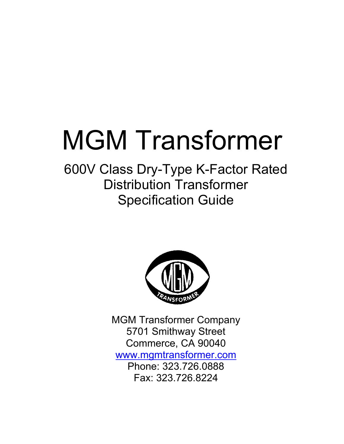# MGM Transformer

600V Class Dry-Type K-Factor Rated Distribution Transformer Specification Guide



MGM Transformer Company 5701 Smithway Street Commerce, CA 90040 [www.mgmtransformer.com](http://www.mgmtransformer.com/) Phone: 323.726.0888 Fax: 323.726.8224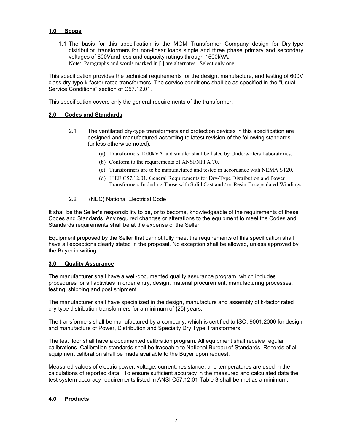# **1.0 Scope**

1.1 The basis for this specification is the MGM Transformer Company design for Dry-type distribution transformers for non-linear loads single and three phase primary and secondary voltages of 600Vand less and capacity ratings through 1500kVA. Note: Paragraphs and words marked in [] are alternates. Select only one.

This specification provides the technical requirements for the design, manufacture, and testing of 600V class dry-type k-factor rated transformers. The service conditions shall be as specified in the "Usual Service Conditions" section of C57.12.01.

This specification covers only the general requirements of the transformer.

# **2.0 Codes and Standards**

- 2.1 The ventilated dry-type transformers and protection devices in this specification are designed and manufactured according to latest revision of the following standards (unless otherwise noted).
	- (a) Transformers 1000kVA and smaller shall be listed by Underwriters Laboratories.
	- (b) Conform to the requirements of ANSI/NFPA 70.
	- (c) Transformers are to be manufactured and tested in accordance with NEMA ST20.
	- (d) IEEE C57.12.01, General Requirements for Dry-Type Distribution and Power Transformers Including Those with Solid Cast and / or Resin-Encapsulated Windings

# 2.2 (NEC) National Electrical Code

It shall be the Seller's responsibility to be, or to become, knowledgeable of the requirements of these Codes and Standards. Any required changes or alterations to the equipment to meet the Codes and Standards requirements shall be at the expense of the Seller.

Equipment proposed by the Seller that cannot fully meet the requirements of this specification shall have all exceptions clearly stated in the proposal. No exception shall be allowed, unless approved by the Buyer in writing.

# **3.0 Quality Assurance**

The manufacturer shall have a well-documented quality assurance program, which includes procedures for all activities in order entry, design, material procurement, manufacturing processes, testing, shipping and post shipment.

The manufacturer shall have specialized in the design, manufacture and assembly of k-factor rated dry-type distribution transformers for a minimum of {25} years.

The transformers shall be manufactured by a company, which is certified to ISO, 9001:2000 for design and manufacture of Power, Distribution and Specialty Dry Type Transformers.

The test floor shall have a documented calibration program. All equipment shall receive regular calibrations. Calibration standards shall be traceable to National Bureau of Standards. Records of all equipment calibration shall be made available to the Buyer upon request.

Measured values of electric power, voltage, current, resistance, and temperatures are used in the calculations of reported data. To ensure sufficient accuracy in the measured and calculated data the test system accuracy requirements listed in ANSI C57.12.01 Table 3 shall be met as a minimum.

# **4.0 Products**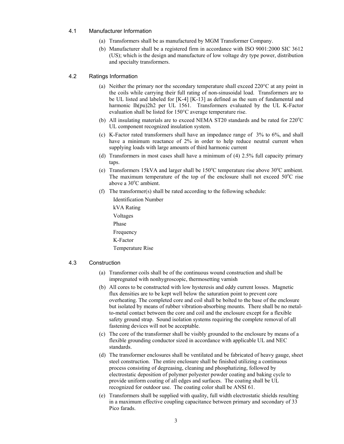# 4.1 Manufacturer Information

- (a) Transformers shall be as manufactured by MGM Transformer Company.
- (b) Manufacturer shall be a registered firm in accordance with ISO 9001:2000 SIC 3612 (US); which is the design and manufacture of low voltage dry type power, distribution and specialty transformers.

#### 4.2 Ratings Information

- (a) Neither the primary nor the secondary temperature shall exceed 220°C at any point in the coils while carrying their full rating of non-sinusoidal load. Transformers are to be UL listed and labeled for [K-4] [K-13] as defined as the sum of fundamental and harmonic Ih(pu)2h2 per UL 1561. Transformers evaluated by the UL K-Factor evaluation shall be listed for 150°C average temperature rise.
- (b) All insulating materials are to exceed NEMA ST20 standards and be rated for  $220^{\circ}$ C UL component recognized insulation system.
- (c) K-Factor rated transformers shall have an impedance range of 3% to 6%, and shall have a minimum reactance of 2% in order to help reduce neutral current when supplying loads with large amounts of third harmonic current
- (d) Transformers in most cases shall have a minimum of (4) 2.5% full capacity primary taps.
- (e) Transformers 15kVA and larger shall be 150°C temperature rise above 30°C ambient. The maximum temperature of the top of the enclosure shall not exceed  $50^{\circ}$ C rise above a 30°C ambient.
- (f) The transformer(s) shall be rated according to the following schedule:

Identification Number kVA Rating Voltages Phase Frequency K-Factor Temperature Rise

### 4.3 Construction

- (a) Transformer coils shall be of the continuous wound construction and shall be impregnated with nonhygroscopic, thermosetting varnish
- (b) All cores to be constructed with low hysteresis and eddy current losses. Magnetic flux densities are to be kept well below the saturation point to prevent core overheating. The completed core and coil shall be bolted to the base of the enclosure but isolated by means of rubber vibration-absorbing mounts. There shall be no metalto-metal contact between the core and coil and the enclosure except for a flexible safety ground strap. Sound isolation systems requiring the complete removal of all fastening devices will not be acceptable.
- (c) The core of the transformer shall be visibly grounded to the enclosure by means of a flexible grounding conductor sized in accordance with applicable UL and NEC standards.
- (d) The transformer enclosures shall be ventilated and be fabricated of heavy gauge, sheet steel construction. The entire enclosure shall be finished utilizing a continuous process consisting of degreasing, cleaning and phosphatizing, followed by electrostatic deposition of polymer polyester powder coating and baking cycle to provide uniform coating of all edges and surfaces. The coating shall be UL recognized for outdoor use. The coating color shall be ANSI 61.
- (e) Transformers shall be supplied with quality, full width electrostatic shields resulting in a maximum effective coupling capacitance between primary and secondary of 33 Pico farads.